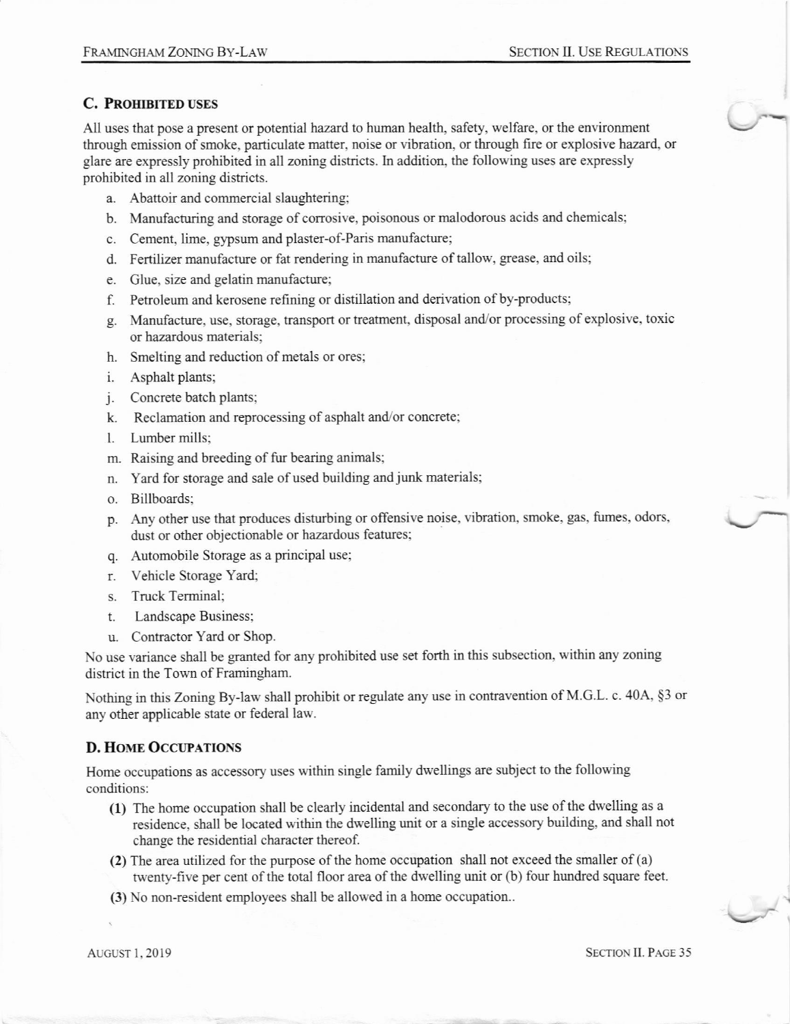### C. PROHIBITED USES

All uses that pose a present or potential hazard to human health, safety, welfare, or the environment through emission of smoke, particulate matter, noise or vibration, or through fire or explosive hazard, or glare are expressly prohibited in all zoning districts. In addition, the following uses are expressly prohibited in all zoning districts.

- a. Abattoir and commercial slaughtering;
- b. Manufacturing and storage of corrosive, poisonous or malodorous acids and chemicals;
- c. Cement, lime, gypsum and plaster-of-Paris manufactue;
- d. Fertilizer manufacture or fat rendering in manufacture of tallow, grease, and oils;
- e. Glue, size and gelatin manufacture;
- f. Petroleum and kerosene refining or distillation and derivation of by-products;
- g. Manufacture, use, storage, transport or treatment, disposal and/or processing of explosive, toxic or hazardous materials;
- h. Smelting and reduction of metals or ores;
- i. Asphalt plants;
- j. Concrete batch plants;
- k. Reclamation and reprocessing of asphalt and/or concrete;
- l. Lumber mills:
- m. Raising and breeding of fiu bearing animals;
- n. Yard for storage and sale of used building and junk materials;
- o. Billboards;
- p. Any other use that produces disturbing or offensive noise, vibration, smoke, gas, fumes, odors, dust or other objectionable or hazardous features;
- q. Automobile Storage as a principal use;
- r. Vehicle Storage Yard;
- s. Truck Terminal;
- t. Landscape Business;
- u. Contractor Yard or Shop.

No use variance shall be granted for any prohibited use set forth in this subsection, within any zoning district in the Town of Framingham.

Nothing in this Zoning By-law shall prohibit or regulate any use in contravention of M.G.L. c. 40A, §3 or any other applicable state or federal law.

#### D. HOME OCCUPATIONS

Home occupations as accessory uses within single family dwellings are subject to the following conditions:

- (1) The home occupation shall be clearly incidental and secondary to the use ofthe dwelling as a residence, shall be located within the dwelling unit or a single accessory building, and shall not change the residential character thereof.
- (2) The area utilized for the purpose of the home occupation shall not exceed the smaller of (a) twenty-five per cent of the total floor area of the dwelling unit or (b) four hundred square feet.
- (3) No non-resident employees shall be allowed in a home occupation..

AUGUST 1, 2019 SECTION II. PAGE 35